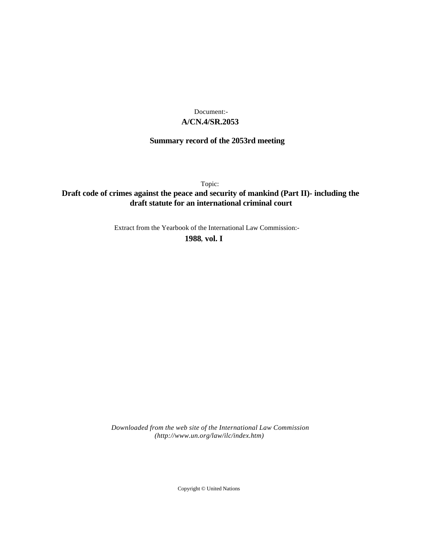## **A/CN.4/SR.2053** Document:-

## **Summary record of the 2053rd meeting**

Topic:

# **Draft code of crimes against the peace and security of mankind (Part II)- including the draft statute for an international criminal court**

Extract from the Yearbook of the International Law Commission:-

**1988** , **vol. I**

*Downloaded from the web site of the International Law Commission (http://www.un.org/law/ilc/index.htm)*

Copyright © United Nations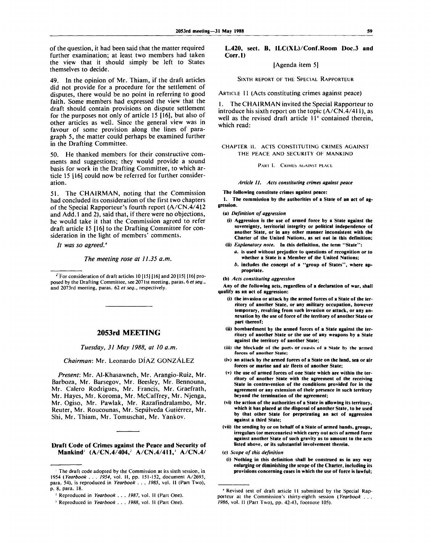of the question, it had been said that the matter required further examination; at least two members had taken the view that it should simply be left to States themselves to decide.

49. In the opinion of Mr. Thiam, if the draft articles did not provide for a procedure for the settlement of disputes, there would be no point in referring to good faith. Some members had expressed the view that the draft should contain provisions on dispute settlement for the purposes not only of article 15 [16], but also of other articles as well. Since the general view was in favour of some provision along the lines of paragraph 5, the matter could perhaps be examined further in the Drafting Committee.

50. He thanked members for their constructive comments and suggestions; they would provide a sound basis for work in the Drafting Committee, to which article 15 [16] could now be referred for further consideration.

51. The CHAIRMAN, noting that the Commission had concluded its consideration of the first two chapters of the Special Rapporteur's fourth report (A/CN.4/412 and Add. 1 and 2), said that, if there were no objections, he would take it that the Commission agreed to refer draft article 15 [16] to the Drafting Committee for consideration in the light of members' comments.

*It was so agreed.\**

*The meeting rose at 11.35 a.m.*

*'* For consideration of draft articles 10 **[15]** [16] and 20 [15] [16] proposed by the Drafting Committee, see 2071st meeting, paras, *betseq.,* and 2073rd meeting, paras. 62 *et seq.,* respectively.

### **2053rd MEETING**

*Tuesday, 31 May 1988, at 10 a.m.*

*Chairman:* Mr. Leonardo DIAZ GONZALEZ

*Present:* Mr. Al-Khasawneh, Mr. Arangio-Ruiz, Mr. Barboza, Mr. Barsegov, Mr. Beesley, Mr. Bennouna, Mr. Calero Rodrigues, Mr. Francis, Mr. Graefrath, Mr. Hayes, Mr. Koroma, Mr. McCaffrey, Mr. Njenga, Mr. Ogiso, Mr. Pawlak, Mr. Razafindralambo, Mr. Reuter, Mr. Roucounas, Mr. Sepulveda Gutierrez, Mr. Shi, Mr. Thiam, Mr. Tomuschat, Mr. Yankov.

## **Draft Code of Crimes against the Peace and Security of Mankind<sup>1</sup> (A/CN.4/404,: A/CN.4/411,' A/CN.4/**

### L.420, sect. **B**, ILC(XL)/Conf.Room Doc.3 and **Corr.l)**

## [Agenda item 5]

SIXTH REPORT OF THE SPECIAL RAPPORTEUR

ARTICLE 11 (Acts constituting crimes against peace)

1. The CHAIRMAN invited the Special Rapporteur to introduce his sixth report on the topic (A/CN.4/411), as well as the revised draft article 11<sup>4</sup> contained therein, which read:

### CHAPTER **11.** ACTS CONSTITUTING CRIMES AGAINST THE PEACE AND SECURITY OF MANKIND

PART I. CRIMES AGAINST PEACE

*Article 11. Acts constituting crimes against peace*

**The following constitute crimes against peace:**

**1. The commission by the authorities of a State of an act of aggression.**

**(a)** *Definition of aggression*

- **(i) Aggression is the use of armed force by a State against the sovereignty, territorial integrity or political independence of another State, or in any other manner inconsistent with the Charter of the United Nations, as set out in this definition;**
- **(ii)** *Explanatory note.* **In this definition, the term "State":**
	- *a.* **is used without prejudice to questions of recognition or to whether a State is a Member of the United Nations;**
	- *b.* **includes the concept of a "group of States", where appropriate.**

**(b)** *Acts constituting aggression*

**Any of the following acts, regardless of a declaration of war, shall qualify as an act of aggression:**

- **(i) the invasion or attack by the armed forces of a State of the territory of another State, or any military occupation, however temporary, resulting from such invasion or attack, or any annexation by the use of force of the territory of another State or part thereof;**
- **(ii) bombardment by the armed forces of a State against the territory of another State or the use of any weapons by a State against the territory of another State;**
- **(iii) the blockade of the ports or** coasts **of** a **State b> the armed forces of another State;**
- **(iv) an attack by the armed forces of a State on the land, sea or air forces or marine and air fleets of another State;**
- **(v) the use of armed forces of one State which are within the territory of another State with the agreement of the receiving State in contravention of the conditions provided for in the agreement or any extension of their presence in such territory beyond the termination of the agreement;**
- **(vi) the action of the authorities of a State in allowing its territory, which it has placed at the disposal of another State, to be used by that other State for perpetrating an act of aggression against a third State;**
- **(vii) the sending by or on behalf of a State of armed bands, groups, irregulars (or mercenaries) which carry out acts of armed force against another State of such gravity as to amount to the acts listed above, or its substantial involvement therein.**

**(c)** *Scope of this definition*

**(i) Nothing in this definition shall be construed as in any way enlarging or diminishing the scope of the Charter, including its provisions concerning** cases **in which the use of force is lawful;**

<sup>1</sup> The draft code adopted by the Commission at its sixth session, in 1954 *(Yearbook . . . 1954,* vol. 11, pp. 151-152, document A/2693, para. 54), is reproduced in *Yearbook . . . 1985,* vol. II (Part Two), p. 8, para. 18.

<sup>:</sup> Reproduced in *Yearbook . . . 1987,* vol. II (Part One).

<sup>5</sup> Reproduced in *Yearbook . . . 1988,* vol. II (Part One).

<sup>4</sup> Revised text of draft article 11 submitted by the Special Rapporteur at the Commission's thirty-eighth session *(Yearbook . . . 1986,* vol. II (Part Two), pp. 42-43, footnote 105).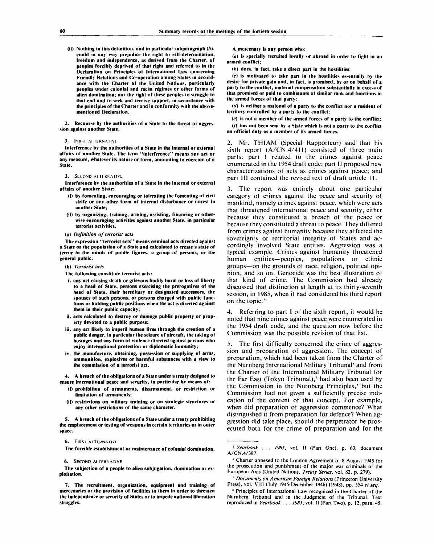**(ii) Nothing in this definition, and in particular subparagraph** *{b),* **could in any way prejudice the right to self-determination, freedom and independence, as derived from the Charter, of peoples forcibly deprived of that right and referred to in Ihe Declaration on Principles of International Law concerning Friendly Relations and Co-operation among States in accordance with the Charter of the United Nations, particularly peoples under colonial and racist regimes or other forms of alien domination; nor the right of these peoples to struggle to that end and to seek and receive support, in accordance with the principles of the Charter and in conformity with the abovementioned Declaration.**

**2. Recourse by the authorities of a State to the threat of aggression against another State.**

#### **3. FIRM AI ILRNAIIVI**

**Interference by the authorities of a State in the internal or external affairs of another State. The term "interference" means any act or any measure, whatever its nature or form, amounting to coercion of a Stale.**

#### **3. SLCONU AI ILKNAIIVL**

Interference by the authorities of a State in the internal or external **affairs of another State:**

- **(i) by fomenting, encouraging or tolerating the fomenting of civil strife or any other form of internal disturbance or unrest in another State;**
- **(ii) by organizing, training, arming, assisting, financing or otherwise encouraging activities against another State, in particular terrorist activities.**
- **(a)** *Definition of terrorist acts*

**The expression "terrorist acts" means criminal acts directed against a State or the population of a State and calculated to create a state of terror in the minds of public figures, a group of persons, or the general public.**

#### **(b)** *Terrorist acts*

- **The following constitute terrorist acts:**
- **i. any act causing death or grievous bodily harm or loss of liberty to a head of State, persons exercising the prerogatives of the head of State, their hereditary or designated successors, the spouses of such persons, or persons charged with public functions or holding public positions when the act is directed against them in their public capacity;**
- **ii. acts calculated to destroy or damage public property or property devoted to a public purpose;**
- **iii. any act likely to imperil human lives through the creation of a public danger, in particular the seizure of aircraft, the taking of hostages and any form of violence directed against persons who enjoy international protection or diplomatic immunity;**
- **iv. the manufacture, obtaining, possession or supplying of arms, ammunition, explosives or harmful substances with a view to the commission of a terrorist act.**

**4. A breach of the obligations of a State under a treaty designed to ensure international peace and security, in particular by means of:**

- **(i) prohibition of armaments, disarmament, or restriction or limitation of armaments;**
- **(ii) restrictions on military training or on strategic structures or any other restrictions of the same character.**

**5. A breach of the obligations of a State under a treaty prohibiting the emplacement or testing of weapons in certain territories or in outer space.**

#### **6. FIRST ALTERNATIVE**

**The forcible establishment or maintenance of colonial domination.**

#### **6. SECOND ALTERNATIVE**

**The subjection of a people to alien subjugation, domination or exploitation.**

**A mercenary is any person who:**

**(a) is specially recruited locally or abroad in order to fight in an armed conflict;**

*(b)* **does, in fact, take a direct part in the hostilities;**

**(c) is motivated to take par! in the hostilities essentially by the desire for private gain and, in fact, is promised, by or on behalf of a party to (he conflict, material compensation substantially in excess of that promised or paid to combatants of similar rank and functions in the armed forces of that party;**

*(d)* **is neither a national of a party to Ihe conflict nor a resident of territory controlled by a parly to the conflict;**

*(e)* **is not a member of the armed forces of a party to Ihe conflict; (/) has nol been sent by a State which is nol a party to Ihe conflict on official duly as a member of its armed forces.**

2. Mr. THIAM (Special Rapporteur) said that his sixth report (A/CN.4/411) consisted of three main parts: part I related to the crimes against peace enumerated in the 1954 draft code; part II proposed new characterizations of acts as crimes against peace; and part III contained the revised text of draft article 11.

3. The report was entirely about one particular category of crimes against the peace and security of mankind, namely crimes against peace, which were acts that threatened international peace and security, either because they constituted a breach of the peace or because they constituted a threat to peace. They differed from crimes against humanity because they affected the sovereignty or territorial integrity of States and accordingly involved State entities. Aggression was a typical example. Crimes against humanity threatened human entities—peoples, populations or ethnic groups—on the grounds of race, religion, political opinion, and so on. Genocide was the best illustration of that kind of crime. The Commission had already discussed that distinction at length at its thirty-seventh session, in 1985, when it had considered his third report on the topic.

4. Referring to part 1 of the sixth report, it would be noted that nine crimes against peace were enumerated in the 1954 draft code, and the question now before the Commission was the possible revision of that list.

5. The first difficulty concerned the crime of aggression and preparation of aggression. The concept of preparation, which had been taken from the Charter of the Nürnberg International Military Tribunal<sup>6</sup> and from the Charter of the International Military Tribunal for the Far East (Tokyo Tribunal),<sup>7</sup> had also been used by the Commission in the Nürnberg Principles,<sup>\*</sup> but the Commission had not given a sufficiently precise indication of the content of that concept. For example, when did preparation of aggression commence? What distingushed it from preparation for defence? When aggression did take place, should the perpetrator be prosecuted both for the crime of preparation and for the

**<sup>7.</sup> The recruitment, organization, equipment and training of mercenaries or the provision of facilities to them in order to threaten the independence or security of States or to impede national liberation struggles.**

**<sup>5</sup>**  *Yearbook . .* **.** *1985,* **vol. II (Part One), p. 63, document A/CN.4/387.**

**<sup>6</sup> Charter annexed to the London Agreement of 8 August 1945 for the prosecution and punishment of the major war criminals of the European Axis (United Nations,** *Treaty Series,* **vol. 82, p. 279).**

**<sup>&#</sup>x27;** *Documents on American Foreign Relations* **(Princeton University Press), vol. VIII (July 1945-December 1946) (1948), pp. 354** *et seq.*

*<sup>\*</sup>* **Principles of International Law recognized in the Charter of the Nurnberg Tribunal and in the Judgment of the Tribunal. Text reproduced in** *Yearbook . . . 1985,* **vol. II (Part Two), p. 12, para. 45.**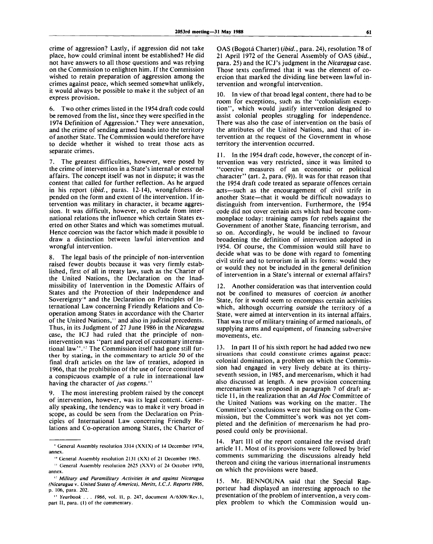crime of aggression? Lastly, if aggression did not take place, how could criminal intent be established? He did not have answers to all those questions and was relying on the Commission to enlighten him. If the Commission wished to retain preparation of aggression among the crimes against peace, which seemed somewhat unlikely, it would always be possible to make it the subject of an express provision.

6. Two other crimes listed in the 1954 draft code could be removed from the list, since they were specified in the 1974 Definition of Aggression.' They were annexation, and the crime of sending armed bands into the territory of another State. The Commission would therefore have to decide whether it wished to treat those acts as separate crimes.

7. The greatest difficulties, however, were posed by the crime of intervention in a State's internal or external affairs. The concept itself was not in dispute; it was the content that called for further reflection. As he argued in his report *(ibid.,* paras. 12-14), wrongfulness depended on the form and extent of the intervention. If intervention was military in character, it became aggression. It was difficult, however, to exclude from international relations the influence which certain States exerted on other States and which was sometimes mutual. Hence coercion was the factor which made it possible to draw a distinction between lawful intervention and wrongful intervention.

8. The legal basis of the principle of non-intervention raised fewer doubts because it was very firmly established, first of all in treaty law, such as the Charter of the United Nations, the Declaration on the Inadmissibility of Intervention in the Domestic Affairs of States and the Protection of their Independence and Sovereignty<sup>10</sup> and the Declaration on Principles of International Law concerning Friendly Relations and Cooperation among States in accordance with the Charter of the United Nations," and also in judicial precedents. Thus, in its Judgment of 27 June 1986 in the *Nicaragua* case, the ICJ had ruled that the principle of nonintervention was "part and parcel of customary internamervention was spare and parcer of castomary interna-<br>tional law".<sup>12</sup> The Commission itself had gone still further by stating, in the commentary to article 50 of the final draft articles on the law of treaties, adopted in 1966, that the prohibition of the use of force constituted a conspicuous example of a rule in international law *n* having the character of *jus cogens.*

9. The most interesting problem raised by the concept of intervention, however, was its legal content. Generally speaking, the tendency was to make it very broad in scope, as could be seen from the Declaration on Principles of International Law concerning Friendly Relations and Co-operation among States, the Charter of

OAS (Bogota Charter) *(ibid.,* para. 24), resolution 78 of 21 April 1972 of the General Assembly of OAS *(ibid.,* para. 25) and the ICJ's judgment in the *Nicaragua* case. Those texts confirmed that it was the element of coercion that marked the dividing line between lawful intervention and wrongful intervention.

10. In view of that broad legal content, there had to be room for exceptions, such as the "colonialism exception", which would justify intervention designed to assist colonial peoples struggling for independence. There was also the case of intervention on the basis of the attributes of the United Nations, and that of intervention at the request of the Government in whose territory the intervention occurred.

11. In the 1954 draft code, however, the concept of intervention was very restricted, since it was limited to "coercive measures of an economic or political character" (art. 2, para. (9)). It was for that reason that the 1954 draft code treated as separate offences certain acts—such as the encouragement of civil strife in another State—that it would be difficult nowadays to distinguish from intervention. Furthermore, the 1954 code did not cover certain acts which had become commonplace today: training camps for rebels against the Government of another State, financing terrorism, and so on. Accordingly, he would be inclined to favour broadening the definition of intervention adopted in 1954. Of course, the Commission would still have to decide what was to be done with regard to fomenting civil strife and to terrorism in all its forms: would they or would they not be included in the general definition of intervention in a State's internal or external affairs?

12. Another consideration was that intervention could not be confined to measures of coercion *in* another State, for it would seem to encompass certain activities which, although occurring *outside* the territory of a State, were aimed at intervention in its internal affairs. That was true of military training of armed nationals, of supplying arms and equipment, of financing subversive movements, etc.

13. In part II of his sixth report he had added two new situations that could constitute crimes against peace: colonial domination, a problem on which the Commission had engaged in very lively debate at its thirtyseventh session, in 1985, and mercenarism, which it had also discussed at length. A new provision concerning mercenarism was proposed in paragraph 7 of draft article 11, in the realization that an *Ad Hoc* Committee of the United Nations was working on the matter. The Committee's conclusions were not binding on the Commission, but the Committee's work was not yet completed and the definition of mercenarism he had proposed could only be provisional.

14. Part III of the report contained the revised draft article 11. Most of its provisions were followed by brief comments summarizing the discussions already held thereon and citing the various international instruments on which the provisions were based.

15. Mr. BENNOUNA said that the Special Rapporteur had displayed an interesting approach to the presentation of the problem of intervention, a very complex problem to which the Commission would un-

<sup>&</sup>quot; General Assembly resolution 3314 (XXIX) of 14 December 1974, annex.

<sup>&</sup>lt;sup>10</sup> General Assembly resolution 2131 (XX) of 21 December 1965.

<sup>&</sup>lt;sup>11</sup> General Assembly resolution 2625 (XXV) of 24 October 1970, annex.

<sup>&#</sup>x27; : Military and Paramilitary Activities in and against Nicaragua (Nicaragua v. United States of America), Merits, I.C.J. Reports 1986, p. 106, para. 202.

<sup>&</sup>lt;sup>11</sup> Yearbook . . . 1966, vol. 11, p. 247, document A/6309/Rev.1, part II, para. (1) of the commentary.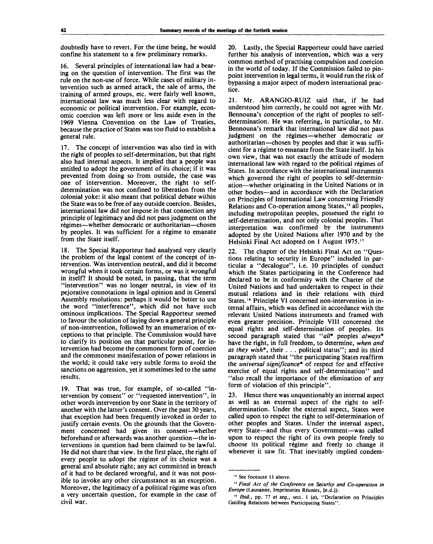doubtedly have to revert. For the time being, he would confine his statement to a few preliminary remarks.

16. Several principles of international law had a bearing on the question of intervention. The first was the rule on the non-use of force. While cases of military intervention such as armed attack, the sale of arms, the training of armed groups, etc. were fairly well known, international law was much less clear with regard to economic or political intervention. For example, economic coercion was left more or less aside even in the 1969 Vienna Convention on the Law of Treaties, because the practice of States was too fluid to establish a general rule.

17. The concept of intervention was also tied in with the right of peoples to self-determination, but that right also had internal aspects. It implied that a people was entitled to adopt the government of its choice; if it was prevented from doing so from outside, the case was one of intervention. Moreover, the right to selfdetermination was not confined to liberation from the colonial yoke: it also meant that political debate within the State was to be free of any outside coercion. Besides, international law did not impose in that connection any principle of legitimacy and did not pass judgment on the régimes—whether democratic or authoritarian—chosen by peoples. It was sufficient for a régime to emanate from the State itself.

18. The Special Rapporteur had analysed very clearly the problem of the legal content of the concept of intervention. Was intervention neutral, and did it become wrongful when it took certain forms, or was it wrongful in itself? It should be noted, in passing, that the term "intervention" was no longer neutral, in view of its pejorative connotations in legal opinion and in General Assembly resolutions: perhaps it would be better to use the word "interference", which did not have such ominous implications. The Special Rapporteur seemed to favour the solution of laying down a general principle of non-intervention, followed by an enumeration of exceptions to that principle. The Commission would have to clarify its position on that particular point, for intervention had become the commonest form of coercion and the commonest manifestation of power relations in the world; it could take very subtle forms to avoid the sanctions on aggression, yet it sometimes led to the same results.

19. That was true, for example, of so-called "intervention by consent" or "requested intervention", in other words intervention by one State in the territory of another with the latter's consent. Over the past 30 years, that exception had been frequently invoked in order to justify certain events. On the grounds that the Government concerned had given its consent—whether beforehand or afterwards was another question—the interventions in question had been claimed to be lawful. He did not share that view. In the first place, the right of every people to adopt the regime of its choice was a general and absolute right; any act committed in breach of it had to be declared wrongful, and it was not possible to invoke any other circumstance as an exception. Moreover, the legitimacy of a political régime was often a very uncertain question, for example in the case of civil war.

20. Lastly, the Special Rapporteur could have carried further his analysis of intervention, which was a very common method of practising compulsion and coercion in the world of today. If the Commission failed to pinpoint intervention in legal terms, it would run the risk of bypassing a major aspect of modern international practice.

21. Mr. ARANGIO-RUIZ said that, if he had understood him correctly, he could not agree with Mr. Bennouna's conception of the right of peoples to selfdetermination. He was referring, in particular, to Mr. Bennouna's remark that international law did not pass judgment on the régimes—whether democratic or authoritarian—chosen by peoples and that it was sufficient for a regime to emanate from the State itself. In his own view, that was not exactly the attitude of modern international law with regard to the political régimes of States. In accordance with the international instruments which governed the right of peoples to self-determination—whether originating in the United Nations or in other bodies—and in accordance with the Declaration on Principles of International Law concerning Friendly en *i* include of international Equilibrium contributions and Co-operation among States,<sup>14</sup> all peoples, including metropolitan peoples, possessed the right to self-determination, and not only colonial peoples. That interpretation was confirmed by the instruments adopted by the United Nations after 1970 and by the Helsinki Final Act adopted on 1 August 1975."

22. The chapter of the Helsinki Final Act on "Questions relating to security in Europe" included in particular a "decalogue", i.e. 10 principles of conduct which the States participating in the Conference had declared to be in conformity with the Charter of the United Nations and had undertaken to respect in their mutual relations and in their relations with third States.<sup>16</sup> Principle VI concerned non-intervention in internal affairs, which was defined in accordance with the relevant United Nations instruments and framed with even greater precision. Principle VIII concerned the equal rights and self-determination of peoples. Its second paragraph stated that *"all\** peoples *always\** have the right, in full freedom, to determine, *when and as they wish\*,* their . . . political status"; and its third paragraph stated that "the participating States reaffirm the *universal significance\** of respect for and effective exercise of equal rights and self-determination" and "also recall the importance of the elimination of any form of violation of this principle".

23. Hence there was unquestionably an internal aspect as well as an external aspect of the right to selfdetermination. Under the external aspect, States were called upon to respect the right to self-determination of other peoples and States. Under the internal aspect, every State—and thus every Government—was called upon to respect the right of its own people freely to choose its political régime and freely to change it whenever it saw fit. That inevitably implied condem-

<sup>&</sup>lt;sup>14</sup> See footnote 11 above.

<sup>15</sup>  *Final Act of the Conference on Security and Co-operation in Europe* (Lausanne, Imprimeries Reunies, [n.d.]).

<sup>&</sup>quot; *Ibid.,* pp. 77 *et seq.,* sect. 1 (a), "Declaration on Principles Guiding Relations between Participating States".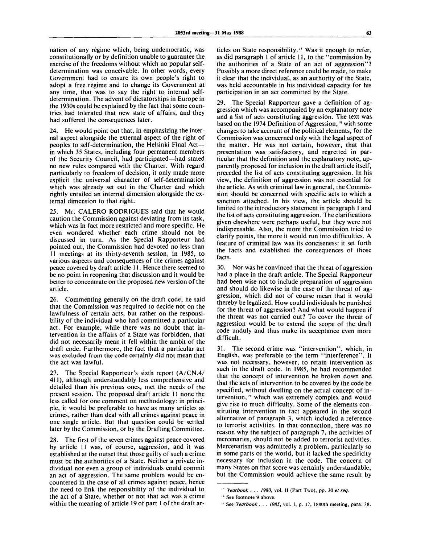nation of any régime which, being undemocratic, was constitutionally or by definition unable to guarantee the exercise of the freedoms without which no popular selfdetermination was conceivable. In other words, every Government had to ensure its own people's right to adopt a free régime and to change its Government at any time, that was to say the right to internal selfdetermination. The advent of dictatorships in Europe in the 1930s could be explained by the fact that some countries had tolerated that new state of affairs, and they had suffered the consequences later.

24. He would point out that, in emphasizing the internal aspect alongside the external aspect of the right of peoples to self-determination, the Helsinki Final Act in which 35 States, including four permanent members of the Security Council, had participated—had stated no new rules compared with the Charter. With regard particularly to freedom of decision, it only made more explicit the universal character of self-determination which was already set out in the Charter and which rightly entailed an internal dimension alongside the external dimension to that right.

25. Mr. CALERO RODR1GUES said that he would caution the Commission against deviating from its task, which was in fact more restricted and more specific. He even wondered whether each crime should not be discussed in turn. As the Special Rapporteur had pointed out, the Commission had devoted no less than 11 meetings at its thirty-seventh session, in 1985, to various aspects and consequences of the crimes against peace covered by draft article 11. Hence there seemed to be no point in reopening that discussion and it would be better to concentrate on the proposed new version of the article.

26. Commenting generally on the draft code, he said that the Commission was required to decide not on the lawfulness of certain acts, but rather on the responsibility of the individual who had committed a particular act. For example, while there was no doubt that intervention in the affairs of a State was forbidden, that did not necessarily mean it fell within the ambit of the draft code. Furthermore, the fact that a particular act was excluded from the code certainly did not mean that the act was lawful.

27. The Special Rapporteur's sixth report (A/CN.4/ 411), although understandably less comprehensive and detailed than his previous ones, met the needs of the present session. The proposed draft article 11 none the less called for one comment on methodology: in principle, it would be preferable to have as many articles as crimes, rather than deal with all crimes against peace in one single article. But that question could be settled later by the Commission, or by the Drafting Committee.

28. The first of the seven crimes against peace covered by article 11 was, of course, aggression, and it was established at the outset that those guilty of such a crime must be the authorities of a State. Neither a private individual nor even a group of individuals could commit an act of aggression. The same problem would be encountered in the case of all crimes against peace, hence the need to link the responsibility of the individual to the act of a State, whether or not that act was a crime within the meaning of article 19 of part 1 of the draft ar-

ticles on State responsibility.<sup>17</sup> Was it enough to refer, as did paragraph 1 of article 11, to the "commission by the authorities of a State of an act of aggression"? Possibly a more direct reference could be made, to make it clear that the individual, as an authority of the State, was held accountable in his individual capacity for his participation in an act committed by the State.

29. The Special Rapporteur gave a definition of aggression which was accompanied by an explanatory note and a list of acts constituting aggression. The text was based on the 1974 Definition of Aggression,<sup>18</sup> with some changes to take account of the political elements, for the Commission was concerned only with the legal aspect of the matter. He was not certain, however, that that presentation was satisfactory, and regretted in particular that the definition and the explanatory note, apparently proposed for inclusion in the draft article itself, preceded the list of acts constituting aggression. In his view, the definition of aggression was not essential for the article. As with criminal law in general, the Commission should be concerned with specific acts to which a sanction attached. In his view, the article should be limited to the introductory statement in paragraph 1 and the list of acts constituting aggression. The clarifications given elsewhere were perhaps useful, but they were not indispensable. Also, the more the Commission tried to clarify points, the more it would run into difficulties. A feature of criminal law was its conciseness: it set forth the facts and established the consequences of those facts.

30. Nor was he convinced that the threat of aggression had a place in the draft article. The Special Rapporteur had been wise not to include preparation of aggression and should do likewise in the case of the threat of aggression, which did not of course mean that it would thereby be legalized. How could individuals be punished for the threat of aggression? And what would happen if the threat was not carried out? To cover the threat of aggression would be to extend the scope of the draft code unduly and thus make its acceptance even more difficult.

31. The second crime was "intervention", which, in English, was preferable to the term "interference". It was not necessary, however, to retain intervention as such in the draft code. In 1985, he had recommended that the concept of intervention be broken down and that the acts of intervention to be covered by the code be specified, without dwelling on the actual concept of intervention,'" which was extremely complex and would give rise to much difficulty. Some of the elements constituting intervention in fact appeared in the second alternative of paragraph 3, which included a reference to terrorist activities. In that connection, there was no reason why the subject of paragraph 7, the activities of mercenaries, should not be added to terrorist activities. Mercenarism was admittedly a problem, particularly so in some parts of the world, but it lacked the specificity necessary for inclusion in the code. The concern of many States on that score was certainly understandable, but the Commission would achieve the same result by

<sup>&</sup>quot; *Yearbook . . . 1980,* vol. II (Part Two), pp. 30 *el seq.*

<sup>&#</sup>x27;\* See footnote 9 above.

<sup>&</sup>quot; See *Yearbook . . . 1985,* vol. I, p. 17, 1880th meeting, para. 38.